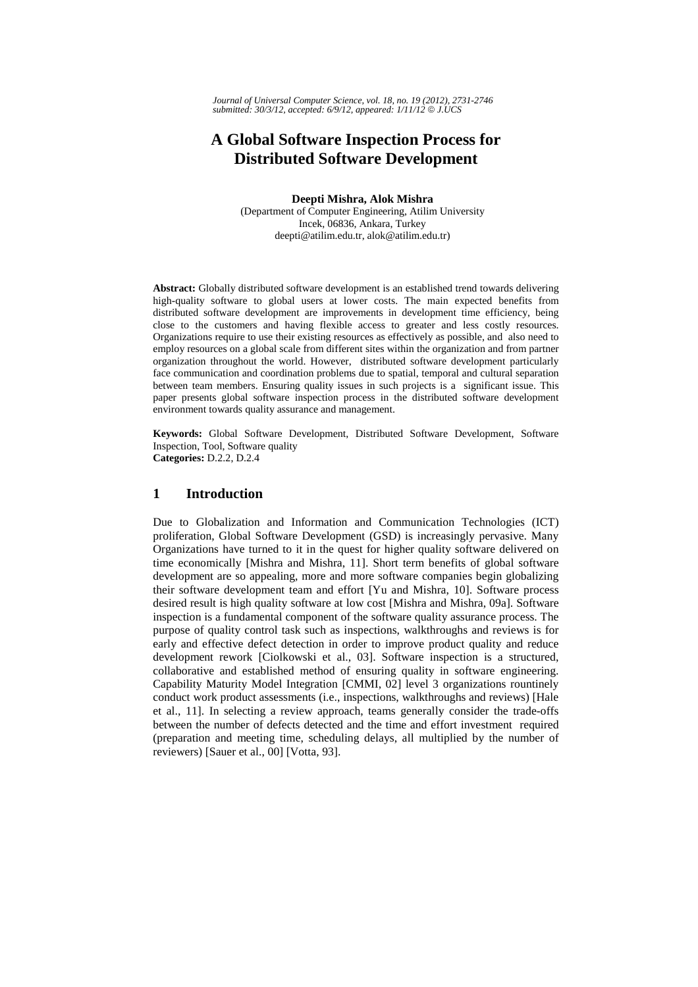# **A Global Software Inspection Process for Distributed Software Development**

**Deepti Mishra, Alok Mishra** 

(Department of Computer Engineering, Atilim University Incek, 06836, Ankara, Turkey deepti@atilim.edu.tr, alok@atilim.edu.tr)

**Abstract:** Globally distributed software development is an established trend towards delivering high-quality software to global users at lower costs. The main expected benefits from distributed software development are improvements in development time efficiency, being close to the customers and having flexible access to greater and less costly resources. Organizations require to use their existing resources as effectively as possible, and also need to employ resources on a global scale from different sites within the organization and from partner organization throughout the world. However, distributed software development particularly face communication and coordination problems due to spatial, temporal and cultural separation between team members. Ensuring quality issues in such projects is a significant issue. This paper presents global software inspection process in the distributed software development environment towards quality assurance and management.

**Keywords:** Global Software Development, Distributed Software Development, Software Inspection, Tool, Software quality **Categories:** D.2.2, D.2.4

#### **1 Introduction**

Due to Globalization and Information and Communication Technologies (ICT) proliferation, Global Software Development (GSD) is increasingly pervasive. Many Organizations have turned to it in the quest for higher quality software delivered on time economically [Mishra and Mishra, 11]. Short term benefits of global software development are so appealing, more and more software companies begin globalizing their software development team and effort [Yu and Mishra, 10]. Software process desired result is high quality software at low cost [Mishra and Mishra, 09a]. Software inspection is a fundamental component of the software quality assurance process. The purpose of quality control task such as inspections, walkthroughs and reviews is for early and effective defect detection in order to improve product quality and reduce development rework [Ciolkowski et al., 03]. Software inspection is a structured, collaborative and established method of ensuring quality in software engineering. Capability Maturity Model Integration [CMMI, 02] level 3 organizations rountinely conduct work product assessments (i.e., inspections, walkthroughs and reviews) [Hale et al., 11]. In selecting a review approach, teams generally consider the trade-offs between the number of defects detected and the time and effort investment required (preparation and meeting time, scheduling delays, all multiplied by the number of reviewers) [Sauer et al., 00] [Votta, 93].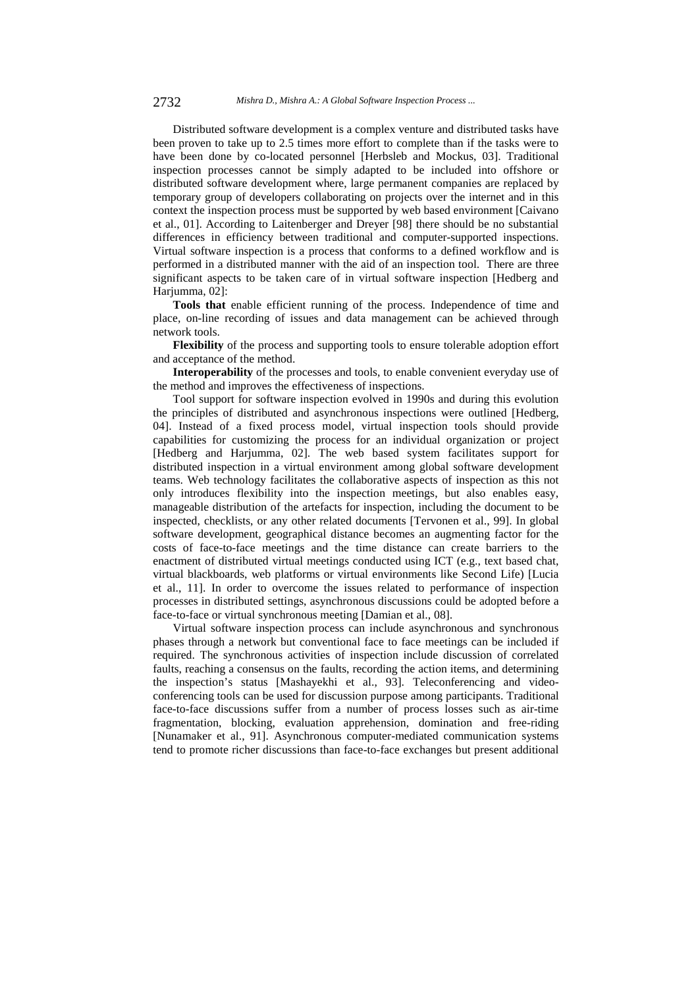Distributed software development is a complex venture and distributed tasks have been proven to take up to 2.5 times more effort to complete than if the tasks were to have been done by co-located personnel [Herbsleb and Mockus, 03]. Traditional inspection processes cannot be simply adapted to be included into offshore or distributed software development where, large permanent companies are replaced by temporary group of developers collaborating on projects over the internet and in this context the inspection process must be supported by web based environment [Caivano et al., 01]. According to Laitenberger and Dreyer [98] there should be no substantial differences in efficiency between traditional and computer-supported inspections. Virtual software inspection is a process that conforms to a defined workflow and is performed in a distributed manner with the aid of an inspection tool. There are three significant aspects to be taken care of in virtual software inspection [Hedberg and Harjumma, 02]:

**Tools that** enable efficient running of the process. Independence of time and place, on-line recording of issues and data management can be achieved through network tools.

**Flexibility** of the process and supporting tools to ensure tolerable adoption effort and acceptance of the method.

**Interoperability** of the processes and tools, to enable convenient everyday use of the method and improves the effectiveness of inspections.

Tool support for software inspection evolved in 1990s and during this evolution the principles of distributed and asynchronous inspections were outlined [Hedberg, 04]. Instead of a fixed process model, virtual inspection tools should provide capabilities for customizing the process for an individual organization or project [Hedberg and Harjumma, 02]. The web based system facilitates support for distributed inspection in a virtual environment among global software development teams. Web technology facilitates the collaborative aspects of inspection as this not only introduces flexibility into the inspection meetings, but also enables easy, manageable distribution of the artefacts for inspection, including the document to be inspected, checklists, or any other related documents [Tervonen et al., 99]. In global software development, geographical distance becomes an augmenting factor for the costs of face-to-face meetings and the time distance can create barriers to the enactment of distributed virtual meetings conducted using ICT (e.g., text based chat, virtual blackboards, web platforms or virtual environments like Second Life) [Lucia et al., 11]. In order to overcome the issues related to performance of inspection processes in distributed settings, asynchronous discussions could be adopted before a face-to-face or virtual synchronous meeting [Damian et al., 08].

Virtual software inspection process can include asynchronous and synchronous phases through a network but conventional face to face meetings can be included if required. The synchronous activities of inspection include discussion of correlated faults, reaching a consensus on the faults, recording the action items, and determining the inspection's status [Mashayekhi et al., 93]. Teleconferencing and videoconferencing tools can be used for discussion purpose among participants. Traditional face-to-face discussions suffer from a number of process losses such as air-time fragmentation, blocking, evaluation apprehension, domination and free-riding [Nunamaker et al., 91]. Asynchronous computer-mediated communication systems tend to promote richer discussions than face-to-face exchanges but present additional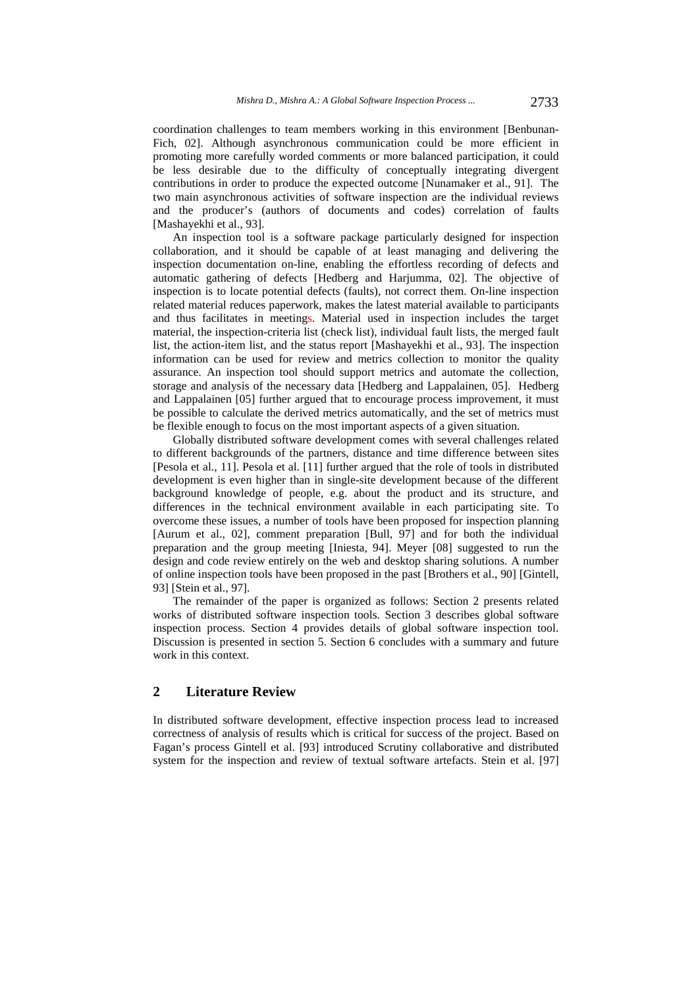coordination challenges to team members working in this environment [Benbunan-Fich, 02]. Although asynchronous communication could be more efficient in promoting more carefully worded comments or more balanced participation, it could be less desirable due to the difficulty of conceptually integrating divergent contributions in order to produce the expected outcome [Nunamaker et al., 91]. The two main asynchronous activities of software inspection are the individual reviews and the producer's (authors of documents and codes) correlation of faults [Mashayekhi et al., 93].

An inspection tool is a software package particularly designed for inspection collaboration, and it should be capable of at least managing and delivering the inspection documentation on-line, enabling the effortless recording of defects and automatic gathering of defects [Hedberg and Harjumma, 02]. The objective of inspection is to locate potential defects (faults), not correct them. On-line inspection related material reduces paperwork, makes the latest material available to participants and thus facilitates in meetings. Material used in inspection includes the target material, the inspection-criteria list (check list), individual fault lists, the merged fault list, the action-item list, and the status report [Mashayekhi et al., 93]. The inspection information can be used for review and metrics collection to monitor the quality assurance. An inspection tool should support metrics and automate the collection, storage and analysis of the necessary data [Hedberg and Lappalainen, 05]. Hedberg and Lappalainen [05] further argued that to encourage process improvement, it must be possible to calculate the derived metrics automatically, and the set of metrics must be flexible enough to focus on the most important aspects of a given situation.

Globally distributed software development comes with several challenges related to different backgrounds of the partners, distance and time difference between sites [Pesola et al., 11]. Pesola et al. [11] further argued that the role of tools in distributed development is even higher than in single-site development because of the different background knowledge of people, e.g. about the product and its structure, and differences in the technical environment available in each participating site. To overcome these issues, a number of tools have been proposed for inspection planning [Aurum et al., 02], comment preparation [Bull, 97] and for both the individual preparation and the group meeting [Iniesta, 94]. Meyer [08] suggested to run the design and code review entirely on the web and desktop sharing solutions. A number of online inspection tools have been proposed in the past [Brothers et al., 90] [Gintell, 93] [Stein et al., 97].

The remainder of the paper is organized as follows: Section 2 presents related works of distributed software inspection tools. Section 3 describes global software inspection process. Section 4 provides details of global software inspection tool. Discussion is presented in section 5. Section 6 concludes with a summary and future work in this context.

#### **2 Literature Review**

In distributed software development, effective inspection process lead to increased correctness of analysis of results which is critical for success of the project. Based on Fagan's process Gintell et al. [93] introduced Scrutiny collaborative and distributed system for the inspection and review of textual software artefacts. Stein et al. [97]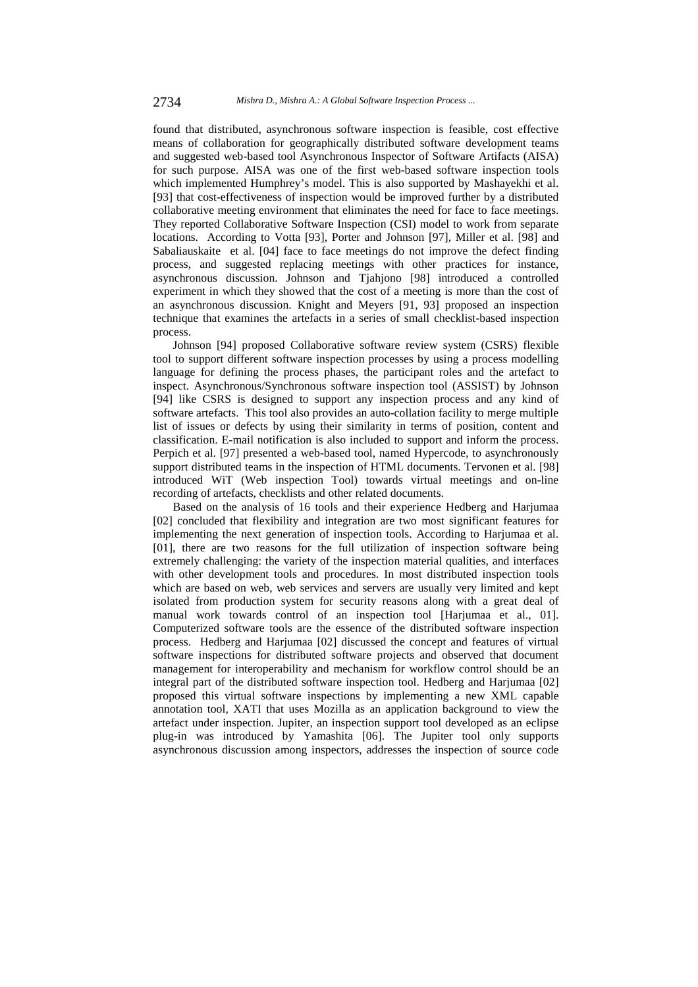found that distributed, asynchronous software inspection is feasible, cost effective means of collaboration for geographically distributed software development teams and suggested web-based tool Asynchronous Inspector of Software Artifacts (AISA) for such purpose. AISA was one of the first web-based software inspection tools which implemented Humphrey's model. This is also supported by Mashayekhi et al. [93] that cost-effectiveness of inspection would be improved further by a distributed collaborative meeting environment that eliminates the need for face to face meetings. They reported Collaborative Software Inspection (CSI) model to work from separate locations. According to Votta [93], Porter and Johnson [97], Miller et al. [98] and Sabaliauskaite et al. [04] face to face meetings do not improve the defect finding process, and suggested replacing meetings with other practices for instance, asynchronous discussion. Johnson and Tjahjono [98] introduced a controlled experiment in which they showed that the cost of a meeting is more than the cost of an asynchronous discussion. Knight and Meyers [91, 93] proposed an inspection technique that examines the artefacts in a series of small checklist-based inspection process.

Johnson [94] proposed Collaborative software review system (CSRS) flexible tool to support different software inspection processes by using a process modelling language for defining the process phases, the participant roles and the artefact to inspect. Asynchronous/Synchronous software inspection tool (ASSIST) by Johnson [94] like CSRS is designed to support any inspection process and any kind of software artefacts. This tool also provides an auto-collation facility to merge multiple list of issues or defects by using their similarity in terms of position, content and classification. E-mail notification is also included to support and inform the process. Perpich et al. [97] presented a web-based tool, named Hypercode, to asynchronously support distributed teams in the inspection of HTML documents. Tervonen et al. [98] introduced WiT (Web inspection Tool) towards virtual meetings and on-line recording of artefacts, checklists and other related documents.

Based on the analysis of 16 tools and their experience Hedberg and Harjumaa [02] concluded that flexibility and integration are two most significant features for implementing the next generation of inspection tools. According to Harjumaa et al. [01], there are two reasons for the full utilization of inspection software being extremely challenging: the variety of the inspection material qualities, and interfaces with other development tools and procedures. In most distributed inspection tools which are based on web, web services and servers are usually very limited and kept isolated from production system for security reasons along with a great deal of manual work towards control of an inspection tool [Harjumaa et al., 01]. Computerized software tools are the essence of the distributed software inspection process. Hedberg and Harjumaa [02] discussed the concept and features of virtual software inspections for distributed software projects and observed that document management for interoperability and mechanism for workflow control should be an integral part of the distributed software inspection tool. Hedberg and Harjumaa [02] proposed this virtual software inspections by implementing a new XML capable annotation tool, XATI that uses Mozilla as an application background to view the artefact under inspection. Jupiter, an inspection support tool developed as an eclipse plug-in was introduced by Yamashita [06]. The Jupiter tool only supports asynchronous discussion among inspectors, addresses the inspection of source code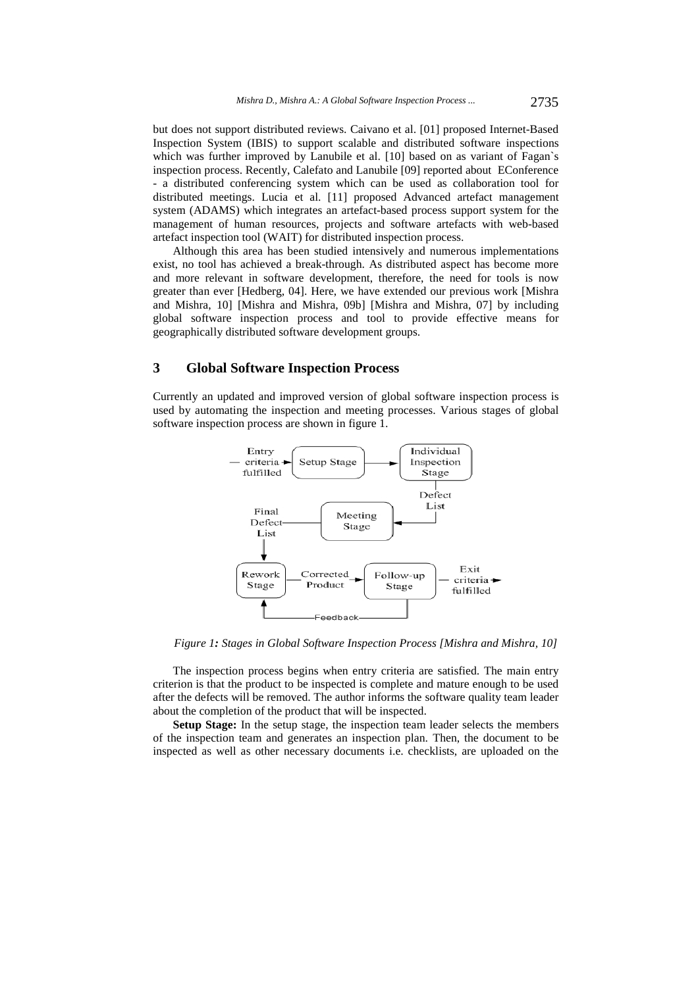but does not support distributed reviews. Caivano et al. [01] proposed Internet-Based Inspection System (IBIS) to support scalable and distributed software inspections which was further improved by Lanubile et al. [10] based on as variant of Fagan`s inspection process. Recently, Calefato and Lanubile [09] reported about EConference - a distributed conferencing system which can be used as collaboration tool for distributed meetings. Lucia et al. [11] proposed Advanced artefact management system (ADAMS) which integrates an artefact-based process support system for the management of human resources, projects and software artefacts with web-based artefact inspection tool (WAIT) for distributed inspection process.

Although this area has been studied intensively and numerous implementations exist, no tool has achieved a break-through. As distributed aspect has become more and more relevant in software development, therefore, the need for tools is now greater than ever [Hedberg, 04]. Here, we have extended our previous work [Mishra and Mishra, 10] [Mishra and Mishra, 09b] [Mishra and Mishra, 07] by including global software inspection process and tool to provide effective means for geographically distributed software development groups.

### **3 Global Software Inspection Process**

Currently an updated and improved version of global software inspection process is used by automating the inspection and meeting processes. Various stages of global software inspection process are shown in figure 1.



*Figure 1: Stages in Global Software Inspection Process [Mishra and Mishra, 10]* 

The inspection process begins when entry criteria are satisfied. The main entry criterion is that the product to be inspected is complete and mature enough to be used after the defects will be removed. The author informs the software quality team leader about the completion of the product that will be inspected.

**Setup Stage:** In the setup stage, the inspection team leader selects the members of the inspection team and generates an inspection plan. Then, the document to be inspected as well as other necessary documents i.e. checklists, are uploaded on the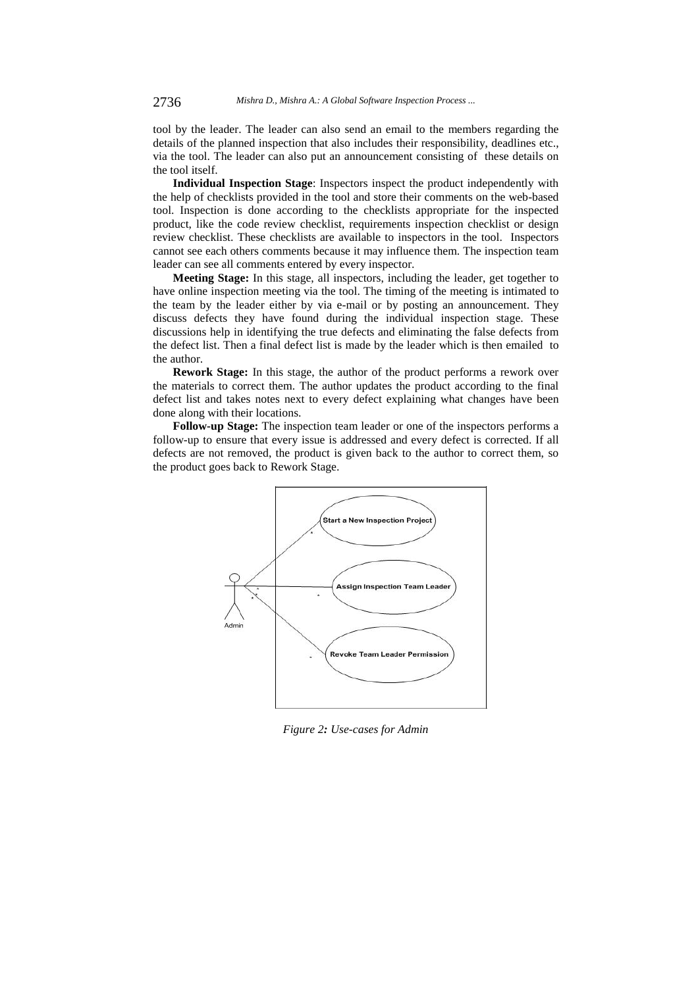tool by the leader. The leader can also send an email to the members regarding the details of the planned inspection that also includes their responsibility, deadlines etc., via the tool. The leader can also put an announcement consisting of these details on the tool itself.

**Individual Inspection Stage**: Inspectors inspect the product independently with the help of checklists provided in the tool and store their comments on the web-based tool. Inspection is done according to the checklists appropriate for the inspected product, like the code review checklist, requirements inspection checklist or design review checklist. These checklists are available to inspectors in the tool. Inspectors cannot see each others comments because it may influence them. The inspection team leader can see all comments entered by every inspector.

**Meeting Stage:** In this stage, all inspectors, including the leader, get together to have online inspection meeting via the tool. The timing of the meeting is intimated to the team by the leader either by via e-mail or by posting an announcement. They discuss defects they have found during the individual inspection stage. These discussions help in identifying the true defects and eliminating the false defects from the defect list. Then a final defect list is made by the leader which is then emailed to the author.

**Rework Stage:** In this stage, the author of the product performs a rework over the materials to correct them. The author updates the product according to the final defect list and takes notes next to every defect explaining what changes have been done along with their locations.

**Follow-up Stage:** The inspection team leader or one of the inspectors performs a follow-up to ensure that every issue is addressed and every defect is corrected. If all defects are not removed, the product is given back to the author to correct them, so the product goes back to Rework Stage.



*Figure 2: Use-cases for Admin*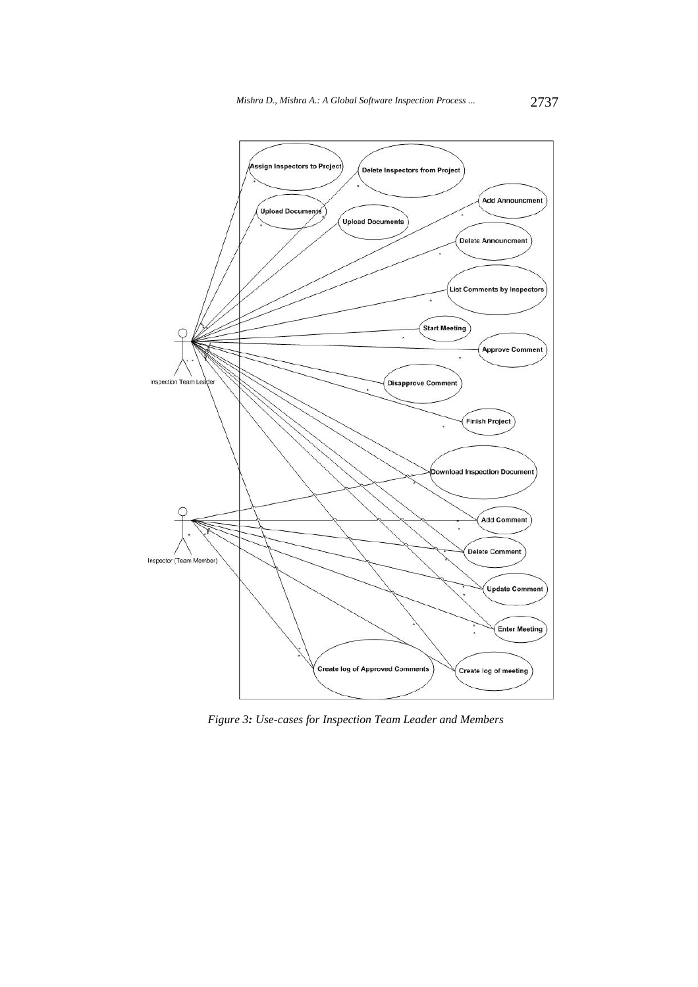

*Figure 3: Use-cases for Inspection Team Leader and Members*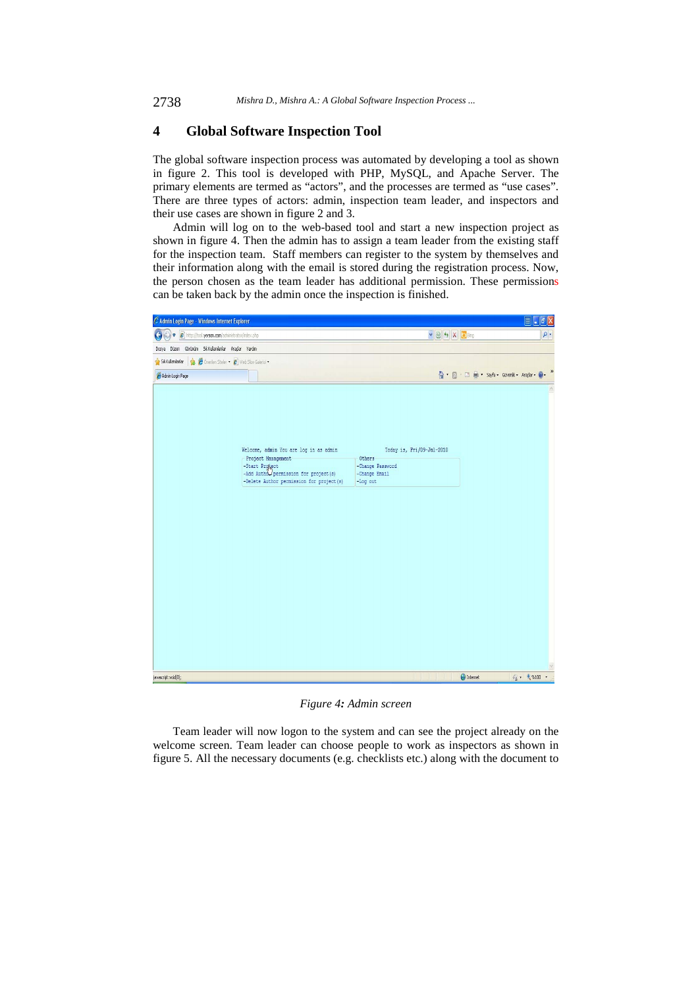### **4 Global Software Inspection Tool**

The global software inspection process was automated by developing a tool as shown in figure 2. This tool is developed with PHP, MySQL, and Apache Server. The primary elements are termed as "actors", and the processes are termed as "use cases". There are three types of actors: admin, inspection team leader, and inspectors and their use cases are shown in figure 2 and 3.

Admin will log on to the web-based tool and start a new inspection project as shown in figure 4. Then the admin has to assign a team leader from the existing staff for the inspection team. Staff members can register to the system by themselves and their information along with the email is stored during the registration process. Now, the person chosen as the team leader has additional permission. These permissions can be taken back by the admin once the inspection is finished.



*Figure 4: Admin screen* 

Team leader will now logon to the system and can see the project already on the welcome screen. Team leader can choose people to work as inspectors as shown in figure 5. All the necessary documents (e.g. checklists etc.) along with the document to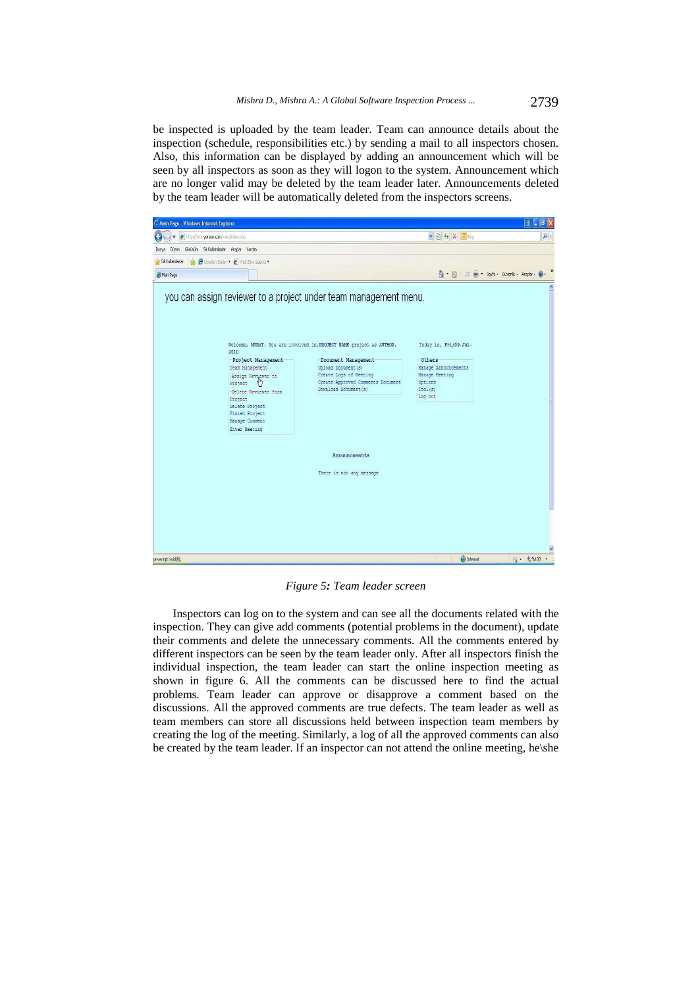be inspected is uploaded by the team leader. Team can announce details about the inspection (schedule, responsibilities etc.) by sending a mail to all inspectors chosen. Also, this information can be displayed by adding an announcement which will be seen by all inspectors as soon as they will logon to the system. Announcement which are no longer valid may be deleted by the team leader later. Announcements deleted by the team leader will be automatically deleted from the inspectors screens.



*Figure 5: Team leader screen* 

Inspectors can log on to the system and can see all the documents related with the inspection. They can give add comments (potential problems in the document), update their comments and delete the unnecessary comments. All the comments entered by different inspectors can be seen by the team leader only. After all inspectors finish the individual inspection, the team leader can start the online inspection meeting as shown in figure 6. All the comments can be discussed here to find the actual problems. Team leader can approve or disapprove a comment based on the discussions. All the approved comments are true defects. The team leader as well as team members can store all discussions held between inspection team members by creating the log of the meeting. Similarly, a log of all the approved comments can also be created by the team leader. If an inspector can not attend the online meeting, he\she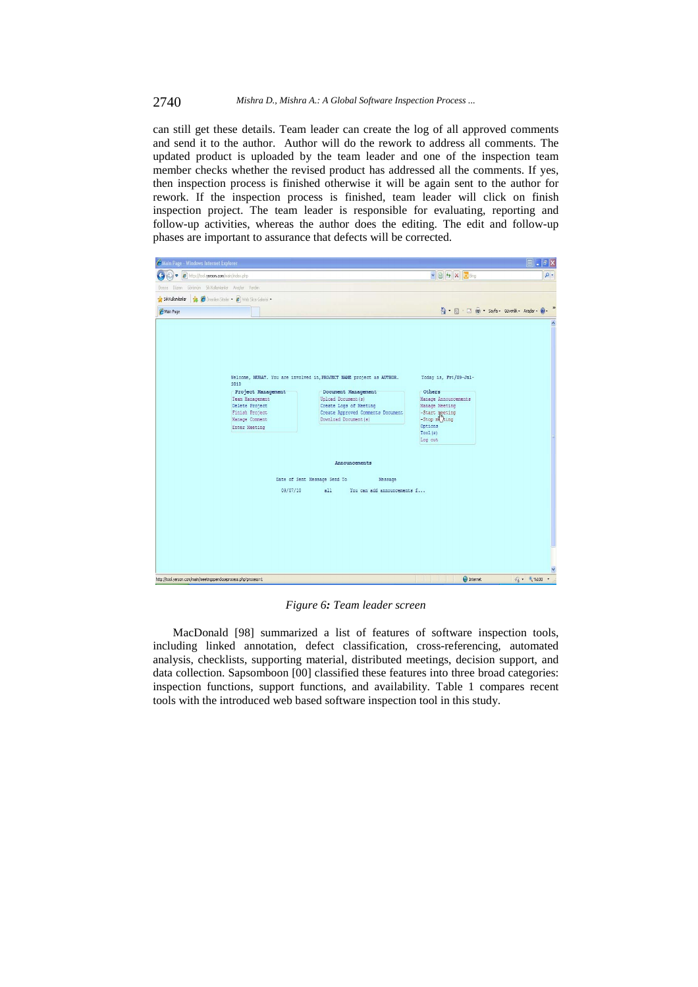#### 2740 *Mishra D., Mishra A.: A Global Software Inspection Process ...*

can still get these details. Team leader can create the log of all approved comments and send it to the author. Author will do the rework to address all comments. The updated product is uploaded by the team leader and one of the inspection team member checks whether the revised product has addressed all the comments. If yes, then inspection process is finished otherwise it will be again sent to the author for rework. If the inspection process is finished, team leader will click on finish inspection project. The team leader is responsible for evaluating, reporting and follow-up activities, whereas the author does the editing. The edit and follow-up phases are important to assurance that defects will be corrected.



*Figure 6: Team leader screen* 

MacDonald [98] summarized a list of features of software inspection tools, including linked annotation, defect classification, cross-referencing, automated analysis, checklists, supporting material, distributed meetings, decision support, and data collection. Sapsomboon [00] classified these features into three broad categories: inspection functions, support functions, and availability. Table 1 compares recent tools with the introduced web based software inspection tool in this study.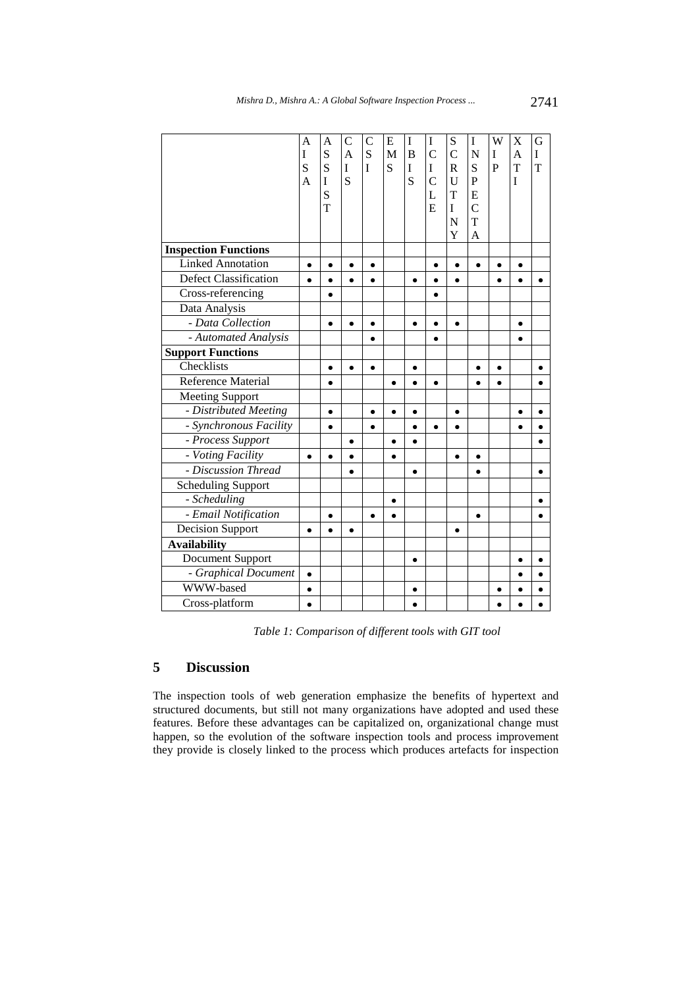|                              | A              | $\overline{A}$ | $\mathcal{C}$  | C         | E         | $\bf I$   | I              | S              | $\bf I$        | W            | X         | G |
|------------------------------|----------------|----------------|----------------|-----------|-----------|-----------|----------------|----------------|----------------|--------------|-----------|---|
|                              | I              | S              | $\overline{A}$ | S         | M         | B         | $\mathcal{C}$  | $\overline{C}$ | N              | I            | A         | I |
|                              | S              | S              | I              | I         | S         | I         | I              | $\mathbf R$    | S              | $\mathbf{P}$ | T         | T |
|                              | $\overline{A}$ | I              | S              |           |           | S         | $\overline{C}$ | U              | $\mathbf P$    |              | I         |   |
|                              |                | S              |                |           |           |           | L              | T              | E              |              |           |   |
|                              |                | T              |                |           |           |           | $\overline{E}$ | I              | $\overline{C}$ |              |           |   |
|                              |                |                |                |           |           |           |                | N              | T              |              |           |   |
|                              |                |                |                |           |           |           |                | Y              | A              |              |           |   |
| <b>Inspection Functions</b>  |                |                |                |           |           |           |                |                |                |              |           |   |
| <b>Linked Annotation</b>     | $\bullet$      | $\bullet$      | $\bullet$      | $\bullet$ |           |           | $\bullet$      |                | $\bullet$      | $\bullet$    | $\bullet$ |   |
| <b>Defect Classification</b> | $\bullet$      | $\bullet$      | $\bullet$      | $\bullet$ |           | $\bullet$ |                | $\bullet$      |                |              | $\bullet$ |   |
| Cross-referencing            |                | $\bullet$      |                |           |           |           |                |                |                |              |           |   |
| Data Analysis                |                |                |                |           |           |           |                |                |                |              |           |   |
| - Data Collection            |                | $\bullet$      | $\bullet$      | $\bullet$ |           |           |                | $\bullet$      |                |              | ٠         |   |
| - Automated Analysis         |                |                |                |           |           |           |                |                |                |              |           |   |
| <b>Support Functions</b>     |                |                |                |           |           |           |                |                |                |              |           |   |
| Checklists                   |                | $\bullet$      | $\bullet$      | $\bullet$ |           | $\bullet$ |                |                | $\bullet$      | $\bullet$    |           |   |
| Reference Material           |                | $\bullet$      |                |           |           |           |                |                |                |              |           |   |
| <b>Meeting Support</b>       |                |                |                |           |           |           |                |                |                |              |           |   |
| - Distributed Meeting        |                | $\bullet$      |                | $\bullet$ | $\bullet$ | $\bullet$ |                | $\bullet$      |                |              | $\bullet$ |   |
| - Synchronous Facility       |                | $\bullet$      |                | ٠         |           |           |                |                |                |              |           |   |
| - Process Support            |                |                | $\bullet$      |           |           |           |                |                |                |              |           |   |
| - Voting Facility            | $\bullet$      | $\bullet$      | $\bullet$      |           | $\bullet$ |           |                | $\bullet$      | $\bullet$      |              |           |   |
| - Discussion Thread          |                |                |                |           |           |           |                |                |                |              |           |   |
| <b>Scheduling Support</b>    |                |                |                |           |           |           |                |                |                |              |           |   |
| - Scheduling                 |                |                |                |           | $\bullet$ |           |                |                |                |              |           |   |
| - Email Notification         |                | $\bullet$      |                | $\bullet$ | $\bullet$ |           |                |                | $\bullet$      |              |           |   |
| <b>Decision Support</b>      | $\bullet$      |                | $\bullet$      |           |           |           |                | ٠              |                |              |           |   |
| <b>Availability</b>          |                |                |                |           |           |           |                |                |                |              |           |   |
| Document Support             |                |                |                |           |           | $\bullet$ |                |                |                |              | $\bullet$ |   |
| - Graphical Document         | $\bullet$      |                |                |           |           |           |                |                |                |              |           |   |
| WWW-based                    | ٠              |                |                |           |           |           |                |                |                |              |           |   |
| Cross-platform               | $\bullet$      |                |                |           |           |           |                |                |                |              |           |   |

*Table 1: Comparison of different tools with GIT tool* 

## **5 Discussion**

The inspection tools of web generation emphasize the benefits of hypertext and structured documents, but still not many organizations have adopted and used these features. Before these advantages can be capitalized on, organizational change must happen, so the evolution of the software inspection tools and process improvement they provide is closely linked to the process which produces artefacts for inspection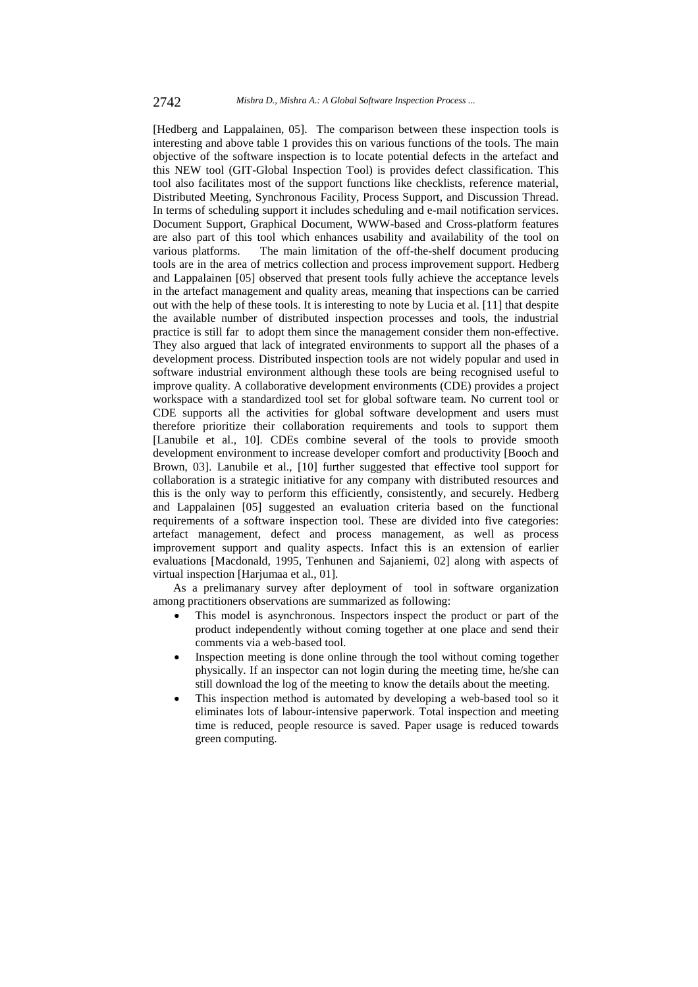[Hedberg and Lappalainen, 05]. The comparison between these inspection tools is interesting and above table 1 provides this on various functions of the tools. The main objective of the software inspection is to locate potential defects in the artefact and this NEW tool (GIT-Global Inspection Tool) is provides defect classification. This tool also facilitates most of the support functions like checklists, reference material, Distributed Meeting, Synchronous Facility, Process Support, and Discussion Thread. In terms of scheduling support it includes scheduling and e-mail notification services. Document Support, Graphical Document*,* WWW-based and Cross-platform features are also part of this tool which enhances usability and availability of the tool on various platforms. The main limitation of the off-the-shelf document producing tools are in the area of metrics collection and process improvement support. Hedberg and Lappalainen [05] observed that present tools fully achieve the acceptance levels in the artefact management and quality areas, meaning that inspections can be carried out with the help of these tools. It is interesting to note by Lucia et al. [11] that despite the available number of distributed inspection processes and tools, the industrial practice is still far to adopt them since the management consider them non-effective. They also argued that lack of integrated environments to support all the phases of a development process. Distributed inspection tools are not widely popular and used in software industrial environment although these tools are being recognised useful to improve quality. A collaborative development environments (CDE) provides a project workspace with a standardized tool set for global software team. No current tool or CDE supports all the activities for global software development and users must therefore prioritize their collaboration requirements and tools to support them [Lanubile et al., 10]. CDEs combine several of the tools to provide smooth development environment to increase developer comfort and productivity [Booch and Brown, 03]. Lanubile et al., [10] further suggested that effective tool support for collaboration is a strategic initiative for any company with distributed resources and this is the only way to perform this efficiently, consistently, and securely. Hedberg and Lappalainen [05] suggested an evaluation criteria based on the functional requirements of a software inspection tool. These are divided into five categories: artefact management, defect and process management, as well as process improvement support and quality aspects. Infact this is an extension of earlier evaluations [Macdonald, 1995, Tenhunen and Sajaniemi, 02] along with aspects of virtual inspection [Harjumaa et al., 01].

As a prelimanary survey after deployment of tool in software organization among practitioners observations are summarized as following:

- This model is asynchronous. Inspectors inspect the product or part of the product independently without coming together at one place and send their comments via a web-based tool.
- Inspection meeting is done online through the tool without coming together physically. If an inspector can not login during the meeting time, he/she can still download the log of the meeting to know the details about the meeting.
- This inspection method is automated by developing a web-based tool so it eliminates lots of labour-intensive paperwork. Total inspection and meeting time is reduced, people resource is saved. Paper usage is reduced towards green computing.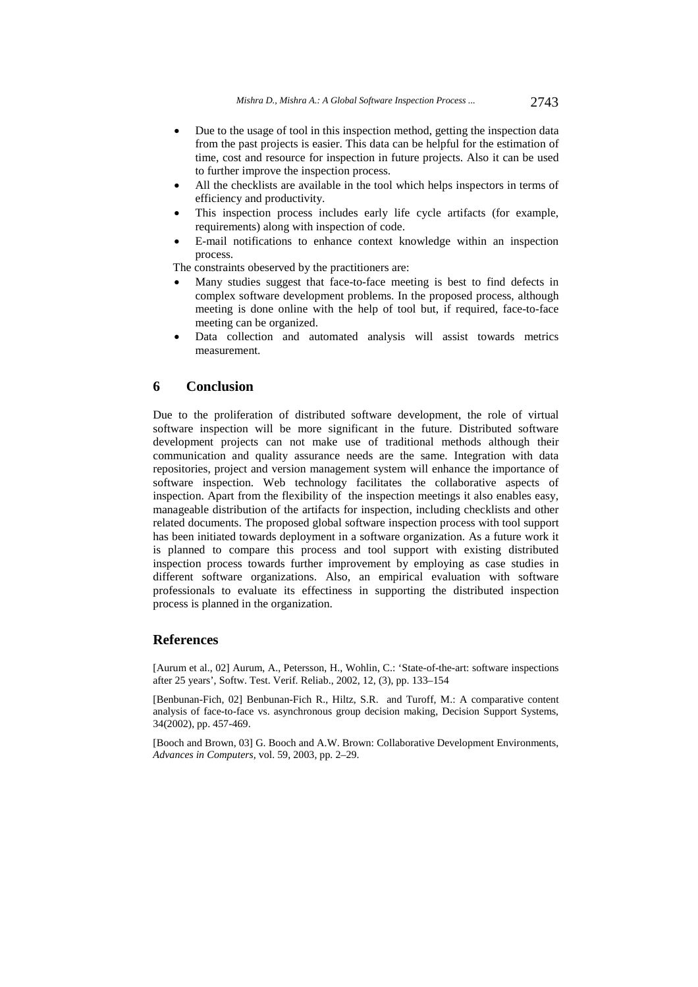- Due to the usage of tool in this inspection method, getting the inspection data from the past projects is easier. This data can be helpful for the estimation of time, cost and resource for inspection in future projects. Also it can be used to further improve the inspection process.
- All the checklists are available in the tool which helps inspectors in terms of efficiency and productivity.
- This inspection process includes early life cycle artifacts (for example, requirements) along with inspection of code.
- E-mail notifications to enhance context knowledge within an inspection process.

The constraints obeserved by the practitioners are:

- Many studies suggest that face-to-face meeting is best to find defects in complex software development problems. In the proposed process, although meeting is done online with the help of tool but, if required, face-to-face meeting can be organized.
- Data collection and automated analysis will assist towards metrics measurement.

#### **6 Conclusion**

Due to the proliferation of distributed software development, the role of virtual software inspection will be more significant in the future. Distributed software development projects can not make use of traditional methods although their communication and quality assurance needs are the same. Integration with data repositories, project and version management system will enhance the importance of software inspection. Web technology facilitates the collaborative aspects of inspection. Apart from the flexibility of the inspection meetings it also enables easy, manageable distribution of the artifacts for inspection, including checklists and other related documents. The proposed global software inspection process with tool support has been initiated towards deployment in a software organization. As a future work it is planned to compare this process and tool support with existing distributed inspection process towards further improvement by employing as case studies in different software organizations. Also, an empirical evaluation with software professionals to evaluate its effectiness in supporting the distributed inspection process is planned in the organization.

#### **References**

[Aurum et al., 02] Aurum, A., Petersson, H., Wohlin, C.: 'State-of-the-art: software inspections after 25 years', Softw. Test. Verif. Reliab., 2002, 12, (3), pp. 133–154

[Benbunan-Fich, 02] Benbunan-Fich R., Hiltz, S.R. and Turoff, M.: A comparative content analysis of face-to-face vs. asynchronous group decision making, Decision Support Systems, 34(2002), pp. 457-469.

[Booch and Brown, 03] G. Booch and A.W. Brown: Collaborative Development Environments, *Advances in Computers,* vol. 59, 2003, pp. 2–29.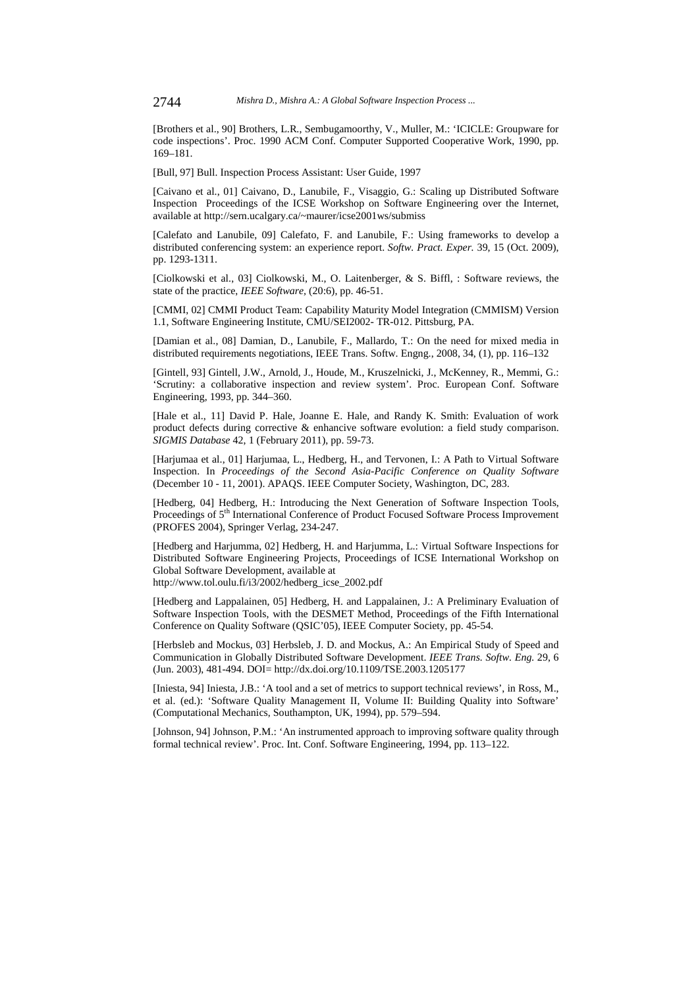[Brothers et al., 90] Brothers, L.R., Sembugamoorthy, V., Muller, M.: 'ICICLE: Groupware for code inspections'. Proc. 1990 ACM Conf. Computer Supported Cooperative Work, 1990, pp. 169–181.

[Bull, 97] Bull. Inspection Process Assistant: User Guide, 1997

[Caivano et al., 01] Caivano, D., Lanubile, F., Visaggio, G.: Scaling up Distributed Software Inspection Proceedings of the ICSE Workshop on Software Engineering over the Internet, available at http://sern.ucalgary.ca/~maurer/icse2001ws/submiss

[Calefato and Lanubile, 09] Calefato, F. and Lanubile, F.: Using frameworks to develop a distributed conferencing system: an experience report. *Softw. Pract. Exper.* 39, 15 (Oct. 2009), pp. 1293-1311.

[Ciolkowski et al., 03] Ciolkowski, M., O. Laitenberger, & S. Biffl, : Software reviews, the state of the practice, *IEEE Software,* (20:6), pp. 46-51.

[CMMI, 02] CMMI Product Team: Capability Maturity Model Integration (CMMISM) Version 1.1, Software Engineering Institute, CMU/SEI2002- TR-012. Pittsburg, PA.

[Damian et al., 08] Damian, D., Lanubile, F., Mallardo, T.: On the need for mixed media in distributed requirements negotiations, IEEE Trans. Softw. Engng., 2008, 34, (1), pp. 116–132

[Gintell, 93] Gintell, J.W., Arnold, J., Houde, M., Kruszelnicki, J., McKenney, R., Memmi, G.: 'Scrutiny: a collaborative inspection and review system'. Proc. European Conf. Software Engineering, 1993, pp. 344–360.

[Hale et al., 11] David P. Hale, Joanne E. Hale, and Randy K. Smith: Evaluation of work product defects during corrective & enhancive software evolution: a field study comparison. *SIGMIS Database* 42, 1 (February 2011), pp. 59-73.

[Harjumaa et al., 01] Harjumaa, L., Hedberg, H., and Tervonen, I.: A Path to Virtual Software Inspection. In *Proceedings of the Second Asia-Pacific Conference on Quality Software* (December 10 - 11, 2001). APAQS. IEEE Computer Society, Washington, DC, 283.

[Hedberg, 04] Hedberg, H.: Introducing the Next Generation of Software Inspection Tools, Proceedings of 5<sup>th</sup> International Conference of Product Focused Software Process Improvement (PROFES 2004), Springer Verlag, 234-247.

[Hedberg and Harjumma, 02] Hedberg, H. and Harjumma, L.: Virtual Software Inspections for Distributed Software Engineering Projects, Proceedings of ICSE International Workshop on Global Software Development, available at

http://www.tol.oulu.fi/i3/2002/hedberg\_icse\_2002.pdf

[Hedberg and Lappalainen, 05] Hedberg, H. and Lappalainen, J.: A Preliminary Evaluation of Software Inspection Tools, with the DESMET Method, Proceedings of the Fifth International Conference on Quality Software (QSIC'05), IEEE Computer Society, pp. 45-54.

[Herbsleb and Mockus, 03] Herbsleb, J. D. and Mockus, A.: An Empirical Study of Speed and Communication in Globally Distributed Software Development. *IEEE Trans. Softw. Eng.* 29, 6 (Jun. 2003), 481-494. DOI= http://dx.doi.org/10.1109/TSE.2003.1205177

[Iniesta, 94] Iniesta, J.B.: 'A tool and a set of metrics to support technical reviews', in Ross, M., et al. (ed.): 'Software Quality Management II, Volume II: Building Quality into Software' (Computational Mechanics, Southampton, UK, 1994), pp. 579–594.

[Johnson, 94] Johnson, P.M.: 'An instrumented approach to improving software quality through formal technical review'. Proc. Int. Conf. Software Engineering, 1994, pp. 113–122.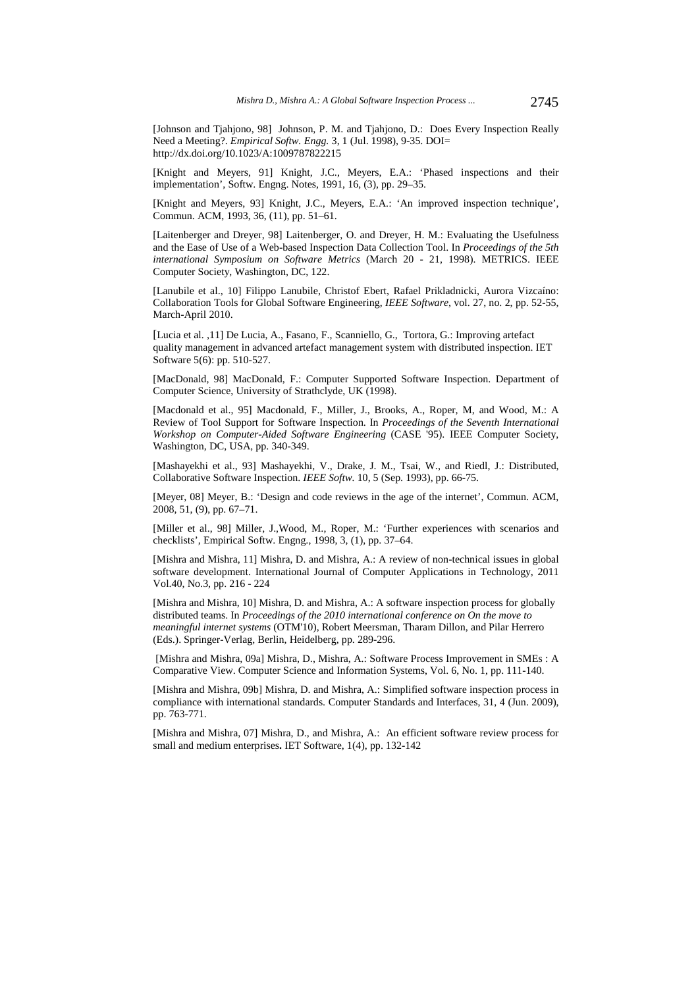[Johnson and Tjahjono, 98] Johnson, P. M. and Tjahjono, D.: Does Every Inspection Really Need a Meeting?. *Empirical Softw. Engg.* 3, 1 (Jul. 1998), 9-35. DOI= http://dx.doi.org/10.1023/A:1009787822215

[Knight and Meyers, 91] Knight, J.C., Meyers, E.A.: 'Phased inspections and their implementation', Softw. Engng. Notes, 1991, 16, (3), pp. 29–35.

[Knight and Meyers, 93] Knight, J.C., Meyers, E.A.: 'An improved inspection technique', Commun. ACM, 1993, 36, (11), pp. 51–61.

[Laitenberger and Dreyer, 98] Laitenberger, O. and Dreyer, H. M.: Evaluating the Usefulness and the Ease of Use of a Web-based Inspection Data Collection Tool. In *Proceedings of the 5th international Symposium on Software Metrics* (March 20 - 21, 1998). METRICS. IEEE Computer Society, Washington, DC, 122.

[Lanubile et al., 10] Filippo Lanubile, Christof Ebert, Rafael Prikladnicki, Aurora Vizcaíno: Collaboration Tools for Global Software Engineering, *IEEE Software*, vol. 27, no. 2, pp. 52-55, March-April 2010.

[Lucia et al. ,11] De Lucia, A., Fasano, F., Scanniello, G., Tortora, G.: Improving artefact quality management in advanced artefact management system with distributed inspection. IET Software 5(6): pp. 510-527.

[MacDonald, 98] MacDonald, F.: Computer Supported Software Inspection. Department of Computer Science, University of Strathclyde, UK (1998).

[Macdonald et al., 95] Macdonald, F., Miller, J., Brooks, A., Roper, M, and Wood, M.: A Review of Tool Support for Software Inspection. In *Proceedings of the Seventh International Workshop on Computer-Aided Software Engineering* (CASE '95). IEEE Computer Society, Washington, DC, USA, pp. 340-349.

[Mashayekhi et al., 93] Mashayekhi, V., Drake, J. M., Tsai, W., and Riedl, J.: Distributed, Collaborative Software Inspection. *IEEE Softw.* 10, 5 (Sep. 1993), pp. 66-75.

[Meyer, 08] Meyer, B.: 'Design and code reviews in the age of the internet', Commun. ACM, 2008, 51, (9), pp. 67–71.

[Miller et al., 98] Miller, J.,Wood, M., Roper, M.: 'Further experiences with scenarios and checklists', Empirical Softw. Engng., 1998, 3, (1), pp. 37–64.

[Mishra and Mishra, 11] Mishra, D. and Mishra, A.: A review of non-technical issues in global software development. International Journal of Computer Applications in Technology, 2011 Vol.40, No.3, pp. 216 - 224

[Mishra and Mishra, 10] Mishra, D. and Mishra, A.: A software inspection process for globally distributed teams. In *Proceedings of the 2010 international conference on On the move to meaningful internet systems* (OTM'10), Robert Meersman, Tharam Dillon, and Pilar Herrero (Eds.). Springer-Verlag, Berlin, Heidelberg, pp. 289-296.

 [Mishra and Mishra, 09a] Mishra, D., Mishra, A.: Software Process Improvement in SMEs : A Comparative View. Computer Science and Information Systems, Vol. 6, No. 1, pp. 111-140.

[Mishra and Mishra, 09b] Mishra, D. and Mishra, A.: Simplified software inspection process in compliance with international standards. Computer Standards and Interfaces, 31, 4 (Jun. 2009), pp. 763-771.

[Mishra and Mishra, 07] Mishra, D., and Mishra, A.: An efficient software review process for small and medium enterprises**.** IET Software, 1(4), pp. 132-142